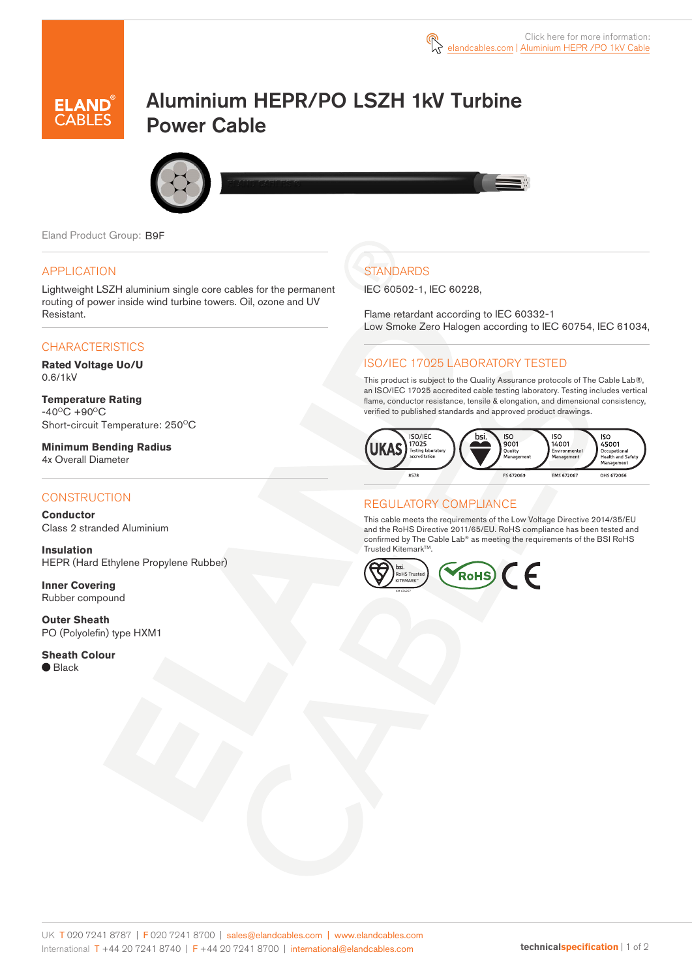

# Aluminium HEPR/PO LSZH 1kV Turbine Power Cable



Eland Product Group: B9F

### APPLICATION

Lightweight LSZH aluminium single core cables for the permanent routing of power inside wind turbine towers. Oil, ozone and UV Resistant.

### **CHARACTERISTICS**

**Rated Voltage Uo/U**  0.6/1kV

**Temperature Rating**   $-40^{\circ}$ C +90 $^{\circ}$ C Short-circuit Temperature: 250°C

**Minimum Bending Radius**  4x Overall Diameter

#### **CONSTRUCTION**

**Conductor** Class 2 stranded Aluminium

**Insulation** HEPR (Hard Ethylene Propylene Rubber)

**Inner Covering** Rubber compound

**Outer Sheath** PO (Polyolefin) type HXM1

**Sheath Colour** ● Black

## **STANDARDS**

IEC 60502-1, IEC 60228,

Flame retardant according to IEC 60332-1 Low Smoke Zero Halogen according to IEC 60754, IEC 61034,

### ISO/IEC 17025 LABORATORY TESTED

This product is subject to the Quality Assurance protocols of The Cable Lab®, an ISO/IEC 17025 accredited cable testing laboratory. Testing includes vertical flame, conductor resistance, tensile & elongation, and dimensional consistency, verified to published standards and approved product drawings.



### REGULATORY COMPLIANCE

This cable meets the requirements of the Low Voltage Directive 2014/35/EU and the RoHS Directive 2011/65/EU. RoHS compliance has been tested and confirmed by The Cable Lab® as meeting the requirements of the BSI RoHS Trusted KitemarkTM.